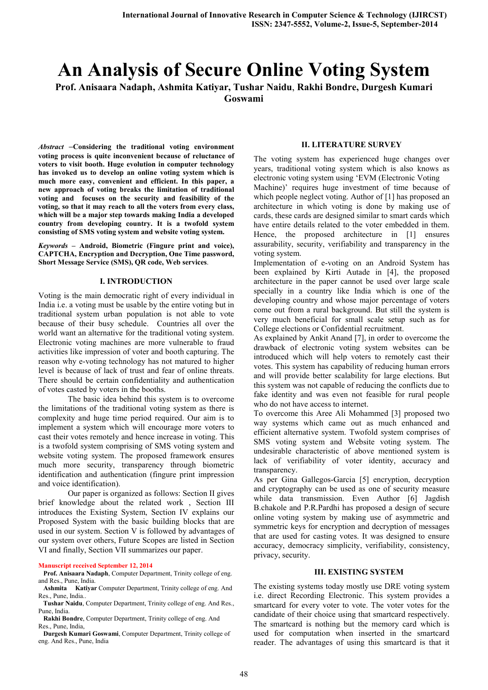# An Analysis of Secure Online Voting System

Prof. Anisaara Nadaph, Ashmita Katiyar, Tushar Naidu, Rakhi Bondre, Durgesh Kumari Goswami

*Abstract* –Considering the traditional voting environment voting process is quite inconvenient because of reluctance of voters to visit booth. Huge evolution in computer technology has invoked us to develop an online voting system which is much more easy, convenient and efficient. In this paper, a new approach of voting breaks the limitation of traditional voting and focuses on the security and feasibility of the voting, so that it may reach to all the voters from every class, which will be a major step towards making India a developed country from developing country. It is a twofold system consisting of SMS voting system and website voting system.

*Keywords –* Android, Biometric (Fingure print and voice), CAPTCHA, Encryption and Decryption, One Time password, Short Message Service (SMS), QR code, Web services.

#### I. INTRODUCTION

Voting is the main democratic right of every individual in India i.e. a voting must be usable by the entire voting but in traditional system urban population is not able to vote because of their busy schedule. Countries all over the world want an alternative for the traditional voting system. Electronic voting machines are more vulnerable to fraud activities like impression of voter and booth capturing. The reason why e-voting technology has not matured to higher level is because of lack of trust and fear of online threats. There should be certain confidentiality and authentication of votes casted by voters in the booths.

The basic idea behind this system is to overcome the limitations of the traditional voting system as there is complexity and huge time period required. Our aim is to implement a system which will encourage more voters to cast their votes remotely and hence increase in voting. This is a twofold system comprising of SMS voting system and website voting system. The proposed framework ensures much more security, transparency through biometric identification and authentication (fingure print impression and voice identification).

Our paper is organized as follows: Section II gives brief knowledge about the related work , Section III introduces the Existing System, Section IV explains our Proposed System with the basic building blocks that are used in our system. Section V is followed by advantages of our system over others, Future Scopes are listed in Section VI and finally, Section VII summarizes our paper.

#### Manuscript received September 12, 2014

#### Prof. Anisaara Nadaph, Computer Department, Trinity college of eng. and Res., Pune, India.

 Ashmita Katiyar Computer Department, Trinity college of eng. And Res., Pune, India..

 Tushar Naidu, Computer Department, Trinity college of eng. And Res., Pune, India.

**Rakhi Bondre, Computer Department, Trinity college of eng. And** Res., Pune, India,

 Durgesh Kumari Goswami, Computer Department, Trinity college of eng. And Res., Pune, India

#### II. LITERATURE SURVEY

The voting system has experienced huge changes over years, traditional voting system which is also knows as electronic voting system using 'EVM (Electronic Voting Machine)' requires huge investment of time because of which people neglect voting. Author of [1] has proposed an architecture in which voting is done by making use of cards, these cards are designed similar to smart cards which have entire details related to the voter embedded in them. Hence, the proposed architecture in [1] ensures assurability, security, verifiability and transparency in the voting system.

Implementation of e-voting on an Android System has been explained by Kirti Autade in [4], the proposed architecture in the paper cannot be used over large scale specially in a country like India which is one of the developing country and whose major percentage of voters come out from a rural background. But still the system is very much beneficial for small scale setup such as for College elections or Confidential recruitment.

As explained by Ankit Anand [7], in order to overcome the drawback of electronic voting system websites can be introduced which will help voters to remotely cast their votes. This system has capability of reducing human errors and will provide better scalability for large elections. But this system was not capable of reducing the conflicts due to fake identity and was even not feasible for rural people who do not have access to internet.

To overcome this Aree Ali Mohammed [3] proposed two way systems which came out as much enhanced and efficient alternative system. Twofold system comprises of SMS voting system and Website voting system. The undesirable characteristic of above mentioned system is lack of verifiability of voter identity, accuracy and transparency.

As per Gina Gallegos-Garcia [5] encryption, decryption and cryptography can be used as one of security measure while data transmission. Even Author [6] Jagdish B.chakole and P.R.Pardhi has proposed a design of secure online voting system by making use of asymmetric and symmetric keys for encryption and decryption of messages that are used for casting votes. It was designed to ensure accuracy, democracy simplicity, verifiability, consistency, privacy, security.

## III. EXISTING SYSTEM

The existing systems today mostly use DRE voting system i.e. direct Recording Electronic. This system provides a smartcard for every voter to vote. The voter votes for the candidate of their choice using that smartcard respectively. The smartcard is nothing but the memory card which is used for computation when inserted in the smartcard reader. The advantages of using this smartcard is that it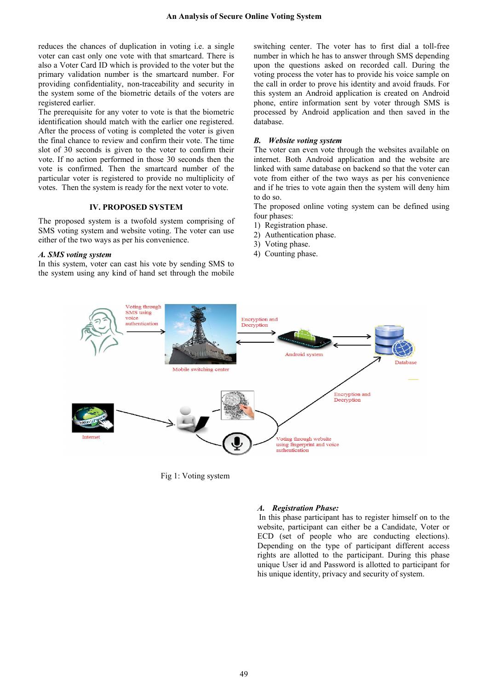reduces the chances of duplication in voting i.e. a single voter can cast only one vote with that smartcard. There is also a Voter Card ID which is provided to the voter but the primary validation number is the smartcard number. For providing confidentiality, non-traceability and security in the system some of the biometric details of the voters are registered earlier.

The prerequisite for any voter to vote is that the biometric identification should match with the earlier one registered. After the process of voting is completed the voter is given the final chance to review and confirm their vote. The time slot of 30 seconds is given to the voter to confirm their vote. If no action performed in those 30 seconds then the vote is confirmed. Then the smartcard number of the particular voter is registered to provide no multiplicity of votes. Then the system is ready for the next voter to vote.

#### IV. PROPOSED SYSTEM

The proposed system is a twofold system comprising of SMS voting system and website voting. The voter can use either of the two ways as per his convenience.

## *A. SMS voting system*

In this system, voter can cast his vote by sending SMS to the system using any kind of hand set through the mobile

switching center. The voter has to first dial a toll-free number in which he has to answer through SMS depending upon the questions asked on recorded call. During the voting process the voter has to provide his voice sample on the call in order to prove his identity and avoid frauds. For this system an Android application is created on Android phone, entire information sent by voter through SMS is processed by Android application and then saved in the database.

## *B. Website voting system*

The voter can even vote through the websites available on internet. Both Android application and the website are linked with same database on backend so that the voter can vote from either of the two ways as per his convenience and if he tries to vote again then the system will deny him to do so.

The proposed online voting system can be defined using four phases:

- 1) Registration phase.
- 2) Authentication phase.
- 3) Voting phase.
- 4) Counting phase.



Fig 1: Voting system

#### *A. Registration Phase:*

 In this phase participant has to register himself on to the website, participant can either be a Candidate, Voter or ECD (set of people who are conducting elections). Depending on the type of participant different access rights are allotted to the participant. During this phase unique User id and Password is allotted to participant for his unique identity, privacy and security of system.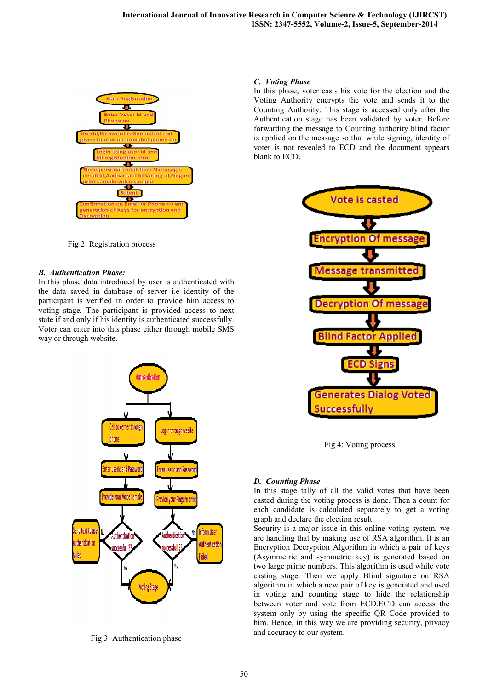

Fig 2: Registration process

## *B. Authentication Phase:*

In this phase data introduced by user is authenticated with the data saved in database of server i.e identity of the participant is verified in order to provide him access to voting stage. The participant is provided access to next state if and only if his identity is authenticated successfully. Voter can enter into this phase either through mobile SMS way or through website.



Fig 3: Authentication phase

# *C. Voting Phase*

In this phase, voter casts his vote for the election and the Voting Authority encrypts the vote and sends it to the Counting Authority. This stage is accessed only after the Authentication stage has been validated by voter. Before forwarding the message to Counting authority blind factor is applied on the message so that while signing, identity of voter is not revealed to ECD and the document appears blank to ECD.



Fig 4: Voting process

# *D. Counting Phase*

In this stage tally of all the valid votes that have been casted during the voting process is done. Then a count for each candidate is calculated separately to get a voting graph and declare the election result.

Security is a major issue in this online voting system, we are handling that by making use of RSA algorithm. It is an Encryption Decryption Algorithm in which a pair of keys (Asymmetric and symmetric key) is generated based on two large prime numbers. This algorithm is used while vote casting stage. Then we apply Blind signature on RSA algorithm in which a new pair of key is generated and used in voting and counting stage to hide the relationship between voter and vote from ECD.ECD can access the system only by using the specific QR Code provided to him. Hence, in this way we are providing security, privacy and accuracy to our system.